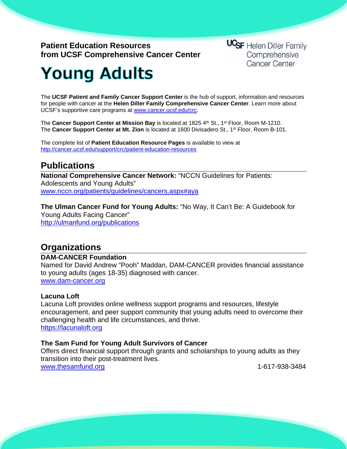### **Patient Education Resources from UCSF Comprehensive Cancer Center**

**UCSF** Helen Diller Family Comprehensive **Cancer Center** 

# **Young Adults**

The **UCSF Patient and Family Cancer Support Center** is the hub of support, information and resources for people with cancer at the **Helen Diller Family Comprehensive Cancer Center**. Learn more about UCSF's supportive care programs at [www.cancer.ucsf.edu/crc.](http://www.cancer.ucsf.edu/crc)

The **Cancer Support Center at Mission Bay** is located at 1825 4th St., 1<sup>st</sup> Floor, Room M-1210. The **Cancer Support Center at Mt. Zion** is located at 1600 Divisadero St., 1st Floor, Room B-101.

The complete list of **Patient Education Resource Pages** is available to view at <http://cancer.ucsf.edu/support/crc/patient-education-resources>

## **Publications**

**National Comprehensive Cancer Network:** "NCCN Guidelines for Patients: Adolescents and Young Adults" [www.nccn.org/patients/guidelines/cancers.aspx#aya](http://www.nccn.org/patients/guidelines/cancers.aspx#aya)

**The Ulman Cancer Fund for Young Adults:** "No Way, It Can't Be: A Guidebook for Young Adults Facing Cancer" <http://ulmanfund.org/publications>

## **Organizations**

#### **DAM-CANCER Foundation**

Named for David Andrew "Pooh" Maddan, DAM-CANCER provides financial assistance to young adults (ages 18-35) diagnosed with cancer. [www.dam-cancer.org](http://www.dam-cancer.org/)

#### **Lacuna Loft**

Lacuna Loft provides online wellness support programs and resources, lifestyle encouragement, and peer support community that young adults need to overcome their challenging health and life circumstances, and thrive. [https://lacunaloft.org](https://lacunaloft.org/)

#### **The Sam Fund for Young Adult Survivors of Cancer**

Offers direct financial support through grants and scholarships to young adults as they transition into their post-treatment lives. [www.thesamfund.org](http://www.thesamfund.org/) 1-617-938-3484